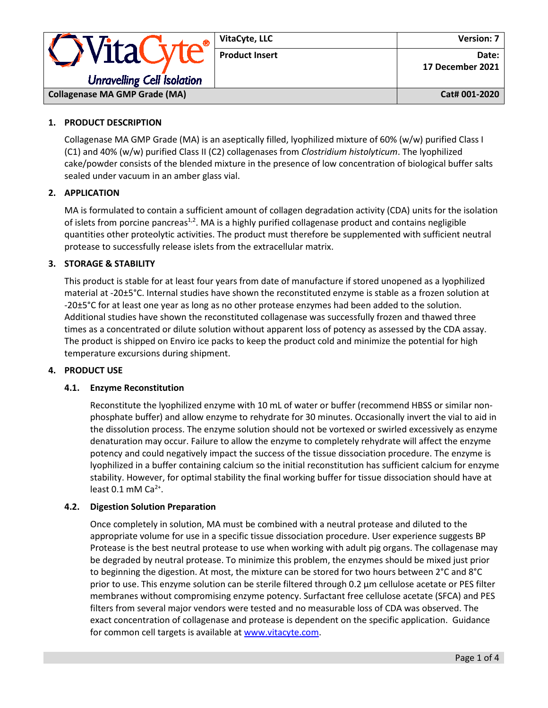|                                                               | VitaCyte, LLC         | <b>Version: 7</b>         |
|---------------------------------------------------------------|-----------------------|---------------------------|
| <i><b>OVitaCyte®</b></i><br><b>Unravelling Cell Isolation</b> | <b>Product Insert</b> | Date:<br>17 December 2021 |
| <b>Collagenase MA GMP Grade (MA)</b>                          |                       | Cat# 001-2020             |

# **1. PRODUCT DESCRIPTION**

Collagenase MA GMP Grade (MA) is an aseptically filled, lyophilized mixture of 60% (w/w) purified Class I (C1) and 40% (w/w) purified Class II (C2) collagenases from *Clostridium histolyticum*. The lyophilized cake/powder consists of the blended mixture in the presence of low concentration of biological buffer salts sealed under vacuum in an amber glass vial.

## **2. APPLICATION**

MA is formulated to contain a sufficient amount of collagen degradation activity (CDA) units for the isolation of islets from porcine pancreas<sup>1,2</sup>. MA is a highly purified collagenase product and contains negligible quantities other proteolytic activities. The product must therefore be supplemented with sufficient neutral protease to successfully release islets from the extracellular matrix.

## **3. STORAGE & STABILITY**

This product is stable for at least four years from date of manufacture if stored unopened as a lyophilized material at -20±5°C. Internal studies have shown the reconstituted enzyme is stable as a frozen solution at -20±5°C for at least one year as long as no other protease enzymes had been added to the solution. Additional studies have shown the reconstituted collagenase was successfully frozen and thawed three times as a concentrated or dilute solution without apparent loss of potency as assessed by the CDA assay. The product is shipped on Enviro ice packs to keep the product cold and minimize the potential for high temperature excursions during shipment.

#### **4. PRODUCT USE**

#### **4.1. Enzyme Reconstitution**

Reconstitute the lyophilized enzyme with 10 mL of water or buffer (recommend HBSS or similar nonphosphate buffer) and allow enzyme to rehydrate for 30 minutes. Occasionally invert the vial to aid in the dissolution process. The enzyme solution should not be vortexed or swirled excessively as enzyme denaturation may occur. Failure to allow the enzyme to completely rehydrate will affect the enzyme potency and could negatively impact the success of the tissue dissociation procedure. The enzyme is lyophilized in a buffer containing calcium so the initial reconstitution has sufficient calcium for enzyme stability. However, for optimal stability the final working buffer for tissue dissociation should have at least  $0.1$  mM Ca<sup>2+</sup>.

## **4.2. Digestion Solution Preparation**

Once completely in solution, MA must be combined with a neutral protease and diluted to the appropriate volume for use in a specific tissue dissociation procedure. User experience suggests BP Protease is the best neutral protease to use when working with adult pig organs. The collagenase may be degraded by neutral protease. To minimize this problem, the enzymes should be mixed just prior to beginning the digestion. At most, the mixture can be stored for two hours between 2°C and 8°C prior to use. This enzyme solution can be sterile filtered through 0.2 μm cellulose acetate or PES filter membranes without compromising enzyme potency. Surfactant free cellulose acetate (SFCA) and PES filters from several major vendors were tested and no measurable loss of CDA was observed. The exact concentration of collagenase and protease is dependent on the specific application. Guidance for common cell targets is available at [www.vitacyte.com.](http://www.vitacyte.com/)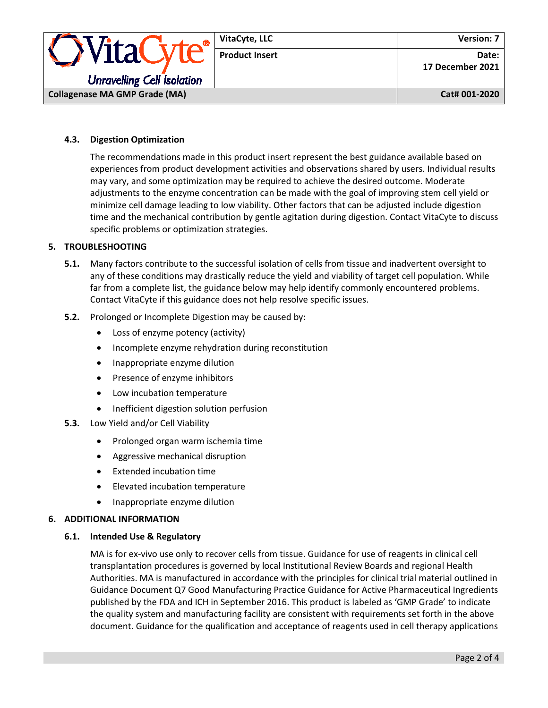

## **4.3. Digestion Optimization**

The recommendations made in this product insert represent the best guidance available based on experiences from product development activities and observations shared by users. Individual results may vary, and some optimization may be required to achieve the desired outcome. Moderate adjustments to the enzyme concentration can be made with the goal of improving stem cell yield or minimize cell damage leading to low viability. Other factors that can be adjusted include digestion time and the mechanical contribution by gentle agitation during digestion. Contact VitaCyte to discuss specific problems or optimization strategies.

## **5. TROUBLESHOOTING**

- **5.1.** Many factors contribute to the successful isolation of cells from tissue and inadvertent oversight to any of these conditions may drastically reduce the yield and viability of target cell population. While far from a complete list, the guidance below may help identify commonly encountered problems. Contact VitaCyte if this guidance does not help resolve specific issues.
- **5.2.** Prolonged or Incomplete Digestion may be caused by:
	- Loss of enzyme potency (activity)
	- Incomplete enzyme rehydration during reconstitution
	- Inappropriate enzyme dilution
	- Presence of enzyme inhibitors
	- Low incubation temperature
	- Inefficient digestion solution perfusion
- **5.3.** Low Yield and/or Cell Viability
	- Prolonged organ warm ischemia time
	- Aggressive mechanical disruption
	- Extended incubation time
	- Elevated incubation temperature
	- Inappropriate enzyme dilution

#### **6. ADDITIONAL INFORMATION**

#### **6.1. Intended Use & Regulatory**

MA is for ex-vivo use only to recover cells from tissue. Guidance for use of reagents in clinical cell transplantation procedures is governed by local Institutional Review Boards and regional Health Authorities. MA is manufactured in accordance with the principles for clinical trial material outlined in Guidance Document Q7 Good Manufacturing Practice Guidance for Active Pharmaceutical Ingredients published by the FDA and ICH in September 2016. This product is labeled as 'GMP Grade' to indicate the quality system and manufacturing facility are consistent with requirements set forth in the above document. Guidance for the qualification and acceptance of reagents used in cell therapy applications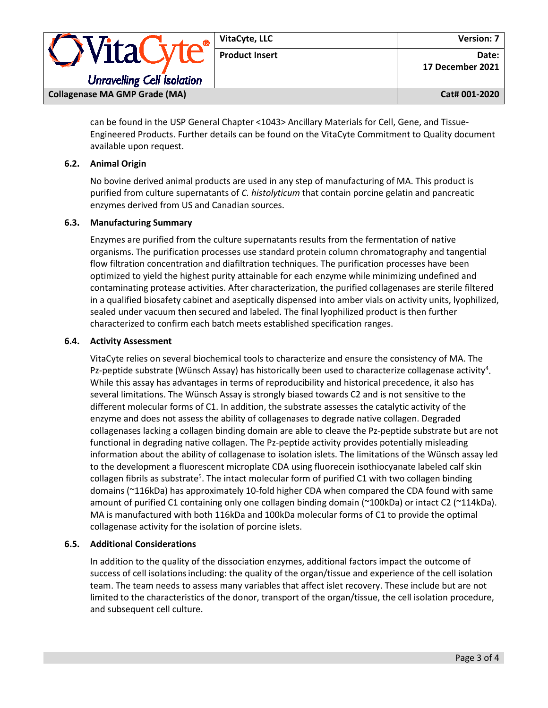| Vital                                | VitaCyte, LLC         | <b>Version: 7</b>         |  |
|--------------------------------------|-----------------------|---------------------------|--|
|                                      | <b>Product Insert</b> | Date:<br>17 December 2021 |  |
| <b>Unravelling Cell Isolation</b>    |                       |                           |  |
| <b>Collagenase MA GMP Grade (MA)</b> |                       | Cat# 001-2020             |  |

can be found in the USP General Chapter <1043> Ancillary Materials for Cell, Gene, and Tissue-Engineered Products. Further details can be found on the VitaCyte Commitment to Quality document available upon request.

## **6.2. Animal Origin**

No bovine derived animal products are used in any step of manufacturing of MA. This product is purified from culture supernatants of *C. histolyticum* that contain porcine gelatin and pancreatic enzymes derived from US and Canadian sources.

## **6.3. Manufacturing Summary**

Enzymes are purified from the culture supernatants results from the fermentation of native organisms. The purification processes use standard protein column chromatography and tangential flow filtration concentration and diafiltration techniques. The purification processes have been optimized to yield the highest purity attainable for each enzyme while minimizing undefined and contaminating protease activities. After characterization, the purified collagenases are sterile filtered in a qualified biosafety cabinet and aseptically dispensed into amber vials on activity units, lyophilized, sealed under vacuum then secured and labeled. The final lyophilized product is then further characterized to confirm each batch meets established specification ranges.

## **6.4. Activity Assessment**

VitaCyte relies on several biochemical tools to characterize and ensure the consistency of MA. The Pz-peptide substrate (Wünsch Assay) has historically been used to characterize collagenase activity<sup>4</sup>. While this assay has advantages in terms of reproducibility and historical precedence, it also has several limitations. The Wünsch Assay is strongly biased towards C2 and is not sensitive to the different molecular forms of C1. In addition, the substrate assesses the catalytic activity of the enzyme and does not assess the ability of collagenases to degrade native collagen. Degraded collagenases lacking a collagen binding domain are able to cleave the Pz-peptide substrate but are not functional in degrading native collagen. The Pz-peptide activity provides potentially misleading information about the ability of collagenase to isolation islets. The limitations of the Wünsch assay led to the development a fluorescent microplate CDA using fluorecein isothiocyanate labeled calf skin collagen fibrils as substrate<sup>5</sup>. The intact molecular form of purified C1 with two collagen binding domains (~116kDa) has approximately 10-fold higher CDA when compared the CDA found with same amount of purified C1 containing only one collagen binding domain (~100kDa) or intact C2 (~114kDa). MA is manufactured with both 116kDa and 100kDa molecular forms of C1 to provide the optimal collagenase activity for the isolation of porcine islets.

## **6.5. Additional Considerations**

In addition to the quality of the dissociation enzymes, additional factors impact the outcome of success of cell isolations including: the quality of the organ/tissue and experience of the cell isolation team. The team needs to assess many variables that affect islet recovery. These include but are not limited to the characteristics of the donor, transport of the organ/tissue, the cell isolation procedure, and subsequent cell culture.